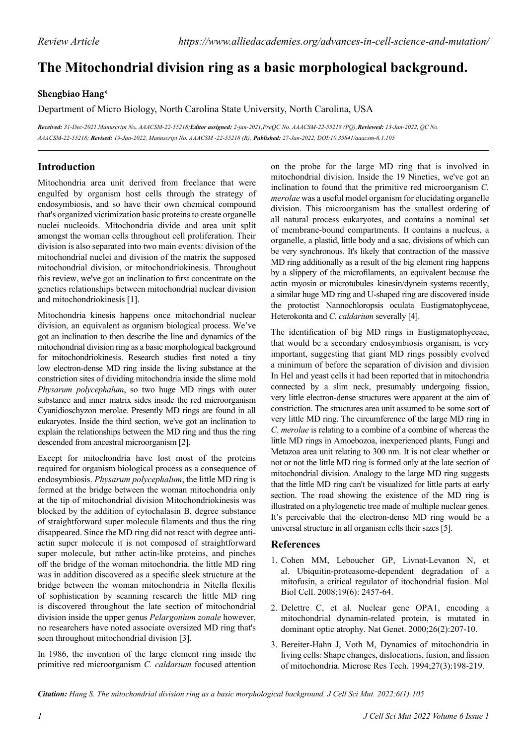# **The Mitochondrial division ring as a basic morphological background.**

### **Shengbiao Hang\***

Department of Micro Biology, North Carolina State University, North Carolina, USA

*Received: 31-Dec-2021,Manuscript No. AAACSM-22-55218;Editor assigned: 2-jan-2021,PreQC No. AAACSM-22-55218 (PQ);Reviewed: 13-Jan-2022, QC No. AAACSM-22-55218; Revised: 19-Jan-2022, Manuscript No. AAACSM -22-55218 (R); Published: 27-Jan-2022, DOI:10.35841/aaacsm-6.1.105*

## **Introduction**

Mitochondria area unit derived from freelance that were engulfed by organism host cells through the strategy of endosymbiosis, and so have their own chemical compound that's organized victimization basic proteins to create organelle nuclei nucleoids. Mitochondria divide and area unit split amongst the woman cells throughout cell proliferation. Their division is also separated into two main events: division of the mitochondrial nuclei and division of the matrix the supposed mitochondrial division, or mitochondriokinesis. Throughout this review, we've got an inclination to first concentrate on the genetics relationships between mitochondrial nuclear division and mitochondriokinesis [1].

Mitochondria kinesis happens once mitochondrial nuclear division, an equivalent as organism biological process. We've got an inclination to then describe the line and dynamics of the mitochondrial division ring as a basic morphological background for mitochondriokinesis. Research studies first noted a tiny low electron-dense MD ring inside the living substance at the constriction sites of dividing mitochondria inside the slime mold *Physarum polycephalum*, so two huge MD rings with outer substance and inner matrix sides inside the red microorganism Cyanidioschyzon merolae. Presently MD rings are found in all eukaryotes. Inside the third section, we've got an inclination to explain the relationships between the MD ring and thus the ring descended from ancestral microorganism [2].

Except for mitochondria have lost most of the proteins required for organism biological process as a consequence of endosymbiosis. *Physarum polycephalum*, the little MD ring is formed at the bridge between the woman mitochondria only at the tip of mitochondrial division Mitochondriokinesis was blocked by the addition of cytochalasin B, degree substance of straightforward super molecule filaments and thus the ring disappeared. Since the MD ring did not react with degree antiactin super molecule it is not composed of straightforward super molecule, but rather actin-like proteins, and pinches off the bridge of the woman mitochondria. the little MD ring was in addition discovered as a specific sleek structure at the bridge between the woman mitochondria in Nitella flexilis of sophistication by scanning research the little MD ring is discovered throughout the late section of mitochondrial division inside the upper genus *Pelargonium zonale* however, no researchers have noted associate oversized MD ring that's seen throughout mitochondrial division [3].

In 1986, the invention of the large element ring inside the primitive red microorganism *C. caldarium* focused attention on the probe for the large MD ring that is involved in mitochondrial division. Inside the 19 Nineties, we've got an inclination to found that the primitive red microorganism *C. merolae* was a useful model organism for elucidating organelle division. This microorganism has the smallest ordering of all natural process eukaryotes, and contains a nominal set of membrane-bound compartments. It contains a nucleus, a organelle, a plastid, little body and a sac, divisions of which can be very synchronous. It's likely that contraction of the massive MD ring additionally as a result of the big element ring happens by a slippery of the microfilaments, an equivalent because the actin–myosin or microtubules–kinesin/dynein systems recently, a similar huge MD ring and U-shaped ring are discovered inside the protoctist Nannochloropsis oculata Eustigmatophyceae, Heterokonta and *C. caldarium* severally [4].

The identification of big MD rings in Eustigmatophyceae, that would be a secondary endosymbiosis organism, is very important, suggesting that giant MD rings possibly evolved a minimum of before the separation of division and division In Hel and yeast cells it had been reported that in mitochondria connected by a slim neck, presumably undergoing fission, very little electron-dense structures were apparent at the aim of constriction. The structures area unit assumed to be some sort of very little MD ring. The circumference of the large MD ring in *C. merolae* is relating to a combine of a combine of whereas the little MD rings in Amoebozoa, inexperienced plants, Fungi and Metazoa area unit relating to 300 nm. It is not clear whether or not or not the little MD ring is formed only at the late section of mitochondrial division. Analogy to the large MD ring suggests that the little MD ring can't be visualized for little parts at early section. The road showing the existence of the MD ring is illustrated on a phylogenetic tree made of multiple nuclear genes. It's perceivable that the electron-dense MD ring would be a universal structure in all organism cells their sizes [5].

#### **References**

- 1. Cohen MM, Leboucher GP, Livnat-Levanon N, et al. [Ubiquitin-proteasome-dependent degradation of a](https://www.molbiolcell.org/doi/full/10.1091/mbc.e08-02-0227)  [mitofusin, a critical regulator of itochondrial fusion.](https://www.molbiolcell.org/doi/full/10.1091/mbc.e08-02-0227) Mol Biol Cell. 2008;19(6): 2457-64.
- 2. Delettre C, et al. Nuclear gene [OPA1, encoding a](https://www.nature.com/articles/ng1000_207)  [mitochondrial dynamin-related protein, is mutated in](https://www.nature.com/articles/ng1000_207)  [dominant optic atrophy.](https://www.nature.com/articles/ng1000_207) Nat Genet. 2000;26(2):207-10.
- 3. Bereiter-Hahn J, Voth M, [Dynamics of mitochondria in](https://analyticalsciencejournals.onlinelibrary.wiley.com/doi/abs/10.1002/jemt.1070270303)  [living cells: Shape changes, dislocations, fusion, and fission](https://analyticalsciencejournals.onlinelibrary.wiley.com/doi/abs/10.1002/jemt.1070270303)  [of mitochondria.](https://analyticalsciencejournals.onlinelibrary.wiley.com/doi/abs/10.1002/jemt.1070270303) Microsc Res Tech. 1994;27(3):198-219.

*Citation: Hang S. The mitochondrial division ring as a basic morphological background. J Cell Sci Mut. 2022;6(1):105*